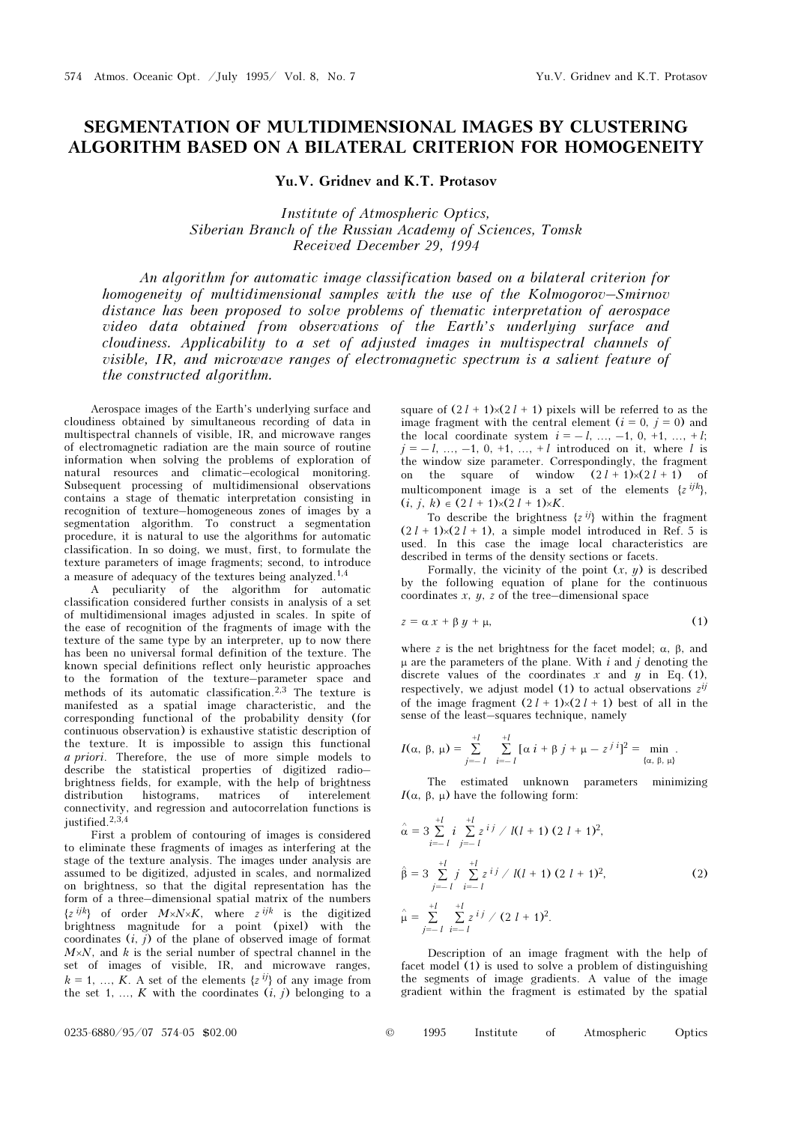## SEGMENTATION OF MULTIDIMENSIONAL IMAGES BY CLUSTERING ALGORITHM BASED ON A BILATERAL CRITERION FOR HOMOGENEITY

Yu.V. Gridnev and K.T. Protasov

Institute of Atmospheric Optics, Siberian Branch of the Russian Academy of Sciences, Tomsk Received December 29, 1994

An algorithm for automatic image classification based on a bilateral criterion for homogeneity of multidimensional samples with the use of the Kolmogorov–Smirnov distance has been proposed to solve problems of thematic interpretation of aerospace video data obtained from observations of the Earth's underlying surface and cloudiness. Applicability to a set of adjusted images in multispectral channels of visible, IR, and microwave ranges of electromagnetic spectrum is a salient feature of the constructed algorithm.

Aerospace images of the Earth's underlying surface and cloudiness obtained by simultaneous recording of data in multispectral channels of visible, IR, and microwave ranges of electromagnetic radiation are the main source of routine information when solving the problems of exploration of natural resources and climatic–ecological monitoring. Subsequent processing of multidimensional observations contains a stage of thematic interpretation consisting in recognition of texture–homogeneous zones of images by a segmentation algorithm. To construct a segmentation procedure, it is natural to use the algorithms for automatic classification. In so doing, we must, first, to formulate the texture parameters of image fragments; second, to introduce a measure of adequacy of the textures being analyzed.1,4

A peculiarity of the algorithm for automatic classification considered further consists in analysis of a set of multidimensional images adjusted in scales. In spite of the ease of recognition of the fragments of image with the texture of the same type by an interpreter, up to now there has been no universal formal definition of the texture. The known special definitions reflect only heuristic approaches to the formation of the texture–parameter space and methods of its automatic classification.2,3 The texture is manifested as a spatial image characteristic, and the corresponding functional of the probability density (for continuous observation) is exhaustive statistic description of the texture. It is impossible to assign this functional a priori. Therefore, the use of more simple models to describe the statistical properties of digitized radio– brightness fields, for example, with the help of brightness distribution histograms, matrices of interelement connectivity, and regression and autocorrelation functions is justified  $2,3,4$ 

First a problem of contouring of images is considered to eliminate these fragments of images as interfering at the stage of the texture analysis. The images under analysis are assumed to be digitized, adjusted in scales, and normalized on brightness, so that the digital representation has the form of a three–dimensional spatial matrix of the numbers  $\{z^{ijk}\}\$  of order  $M \times N \times K$ , where  $z^{ijk}$  is the digitized brightness magnitude for a point (pixel) with the coordinates  $(i, j)$  of the plane of observed image of format  $M \times N$ , and k is the serial number of spectral channel in the set of images of visible, IR, and microwave ranges,  $k = 1, ..., K$ . A set of the elements  $\{z^{ij}\}\$  of any image from the set 1, ...,  $K$  with the coordinates  $(i, j)$  belonging to a

square of  $(2 l + 1) \times (2 l + 1)$  pixels will be referred to as the image fragment with the central element  $(i = 0, j = 0)$  and the local coordinate system  $i = -1, ..., -1, 0, +1, ..., +1;$  $j = -1, ..., -1, 0, +1, ..., +l$  introduced on it, where l is the window size parameter. Correspondingly, the fragment on the square of window  $(2 l + 1) \times (2 l + 1)$  of multicomponent image is a set of the elements  $\{z^{ijk}\}$ ,  $(i, j, k) \in (2l + 1) \times (2l + 1) \times K$ .

To describe the brightness  $\{z^{ij}\}\$  within the fragment  $(2 l + 1) \times (2 l + 1)$ , a simple model introduced in Ref. 5 is used. In this case the image local characteristics are described in terms of the density sections or facets.

Formally, the vicinity of the point  $(x, y)$  is described by the following equation of plane for the continuous coordinates x,  $u$ ,  $\overline{z}$  of the tree–dimensional space

$$
z = \alpha x + \beta y + \mu,\tag{1}
$$

where z is the net brightness for the facet model;  $\alpha$ ,  $\beta$ , and  $\mu$  are the parameters of the plane. With i and j denoting the discrete values of the coordinates x and y in Eq. (1), respectively, we adjust model (1) to actual observations  $z^{ij}$ of the image fragment  $(2 l + 1) \times (2 l + 1)$  best of all in the sense of the least–squares technique, namely

$$
I(\alpha, \beta, \mu) = \sum_{j=-l}^{+l} \sum_{i=-l}^{+l} [\alpha i + \beta j + \mu - z^{j}i]^{2} = \min_{\{\alpha, \beta, \mu\}}.
$$

The estimated unknown parameters minimizing I( $\alpha$ , β, μ) have the following form:

$$
\hat{\alpha} = 3 \sum_{i=-l}^{+l} i \sum_{j=-l}^{-l} z^{ij} / l(l+1) (2 l + 1)^2,
$$
  
\n
$$
\hat{\beta} = 3 \sum_{j=-l}^{+l} j \sum_{i=-l}^{-l} z^{ij} / l(l+1) (2 l + 1)^2,
$$
  
\n
$$
\hat{\mu} = \sum_{j=-l}^{+l} \sum_{i=-l}^{+l} z^{ij} / (2 l + 1)^2.
$$
\n(2)

Description of an image fragment with the help of facet model (1) is used to solve a problem of distinguishing the segments of image gradients. A value of the image gradient within the fragment is estimated by the spatial

| 1995<br>$\circ$ | Institute |  | Atmospheric | Optics |
|-----------------|-----------|--|-------------|--------|
|-----------------|-----------|--|-------------|--------|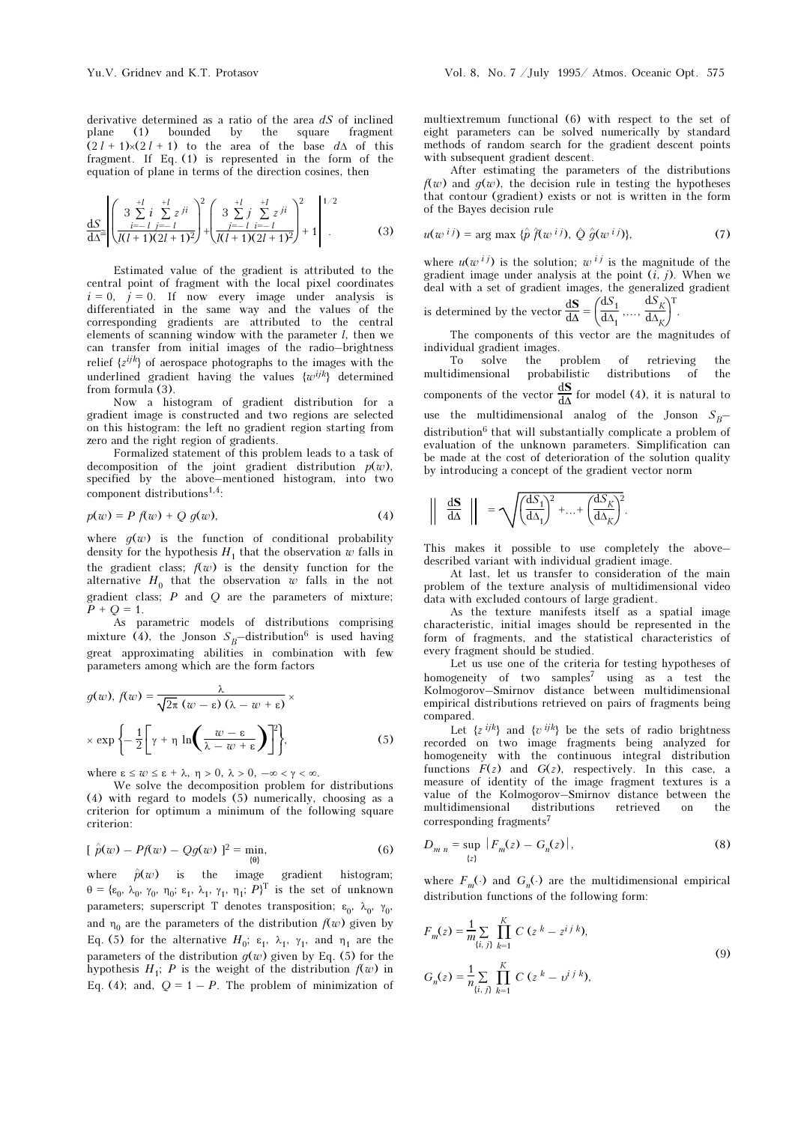derivative determined as a ratio of the area  $dS$  of inclined plane (1) bounded by the square fragment  $(2 l + 1) \times (2 l + 1)$  to the area of the base d $\Delta$  of this fragment. If Eq. (1) is represented in the form of the equation of plane in terms of the direction cosines, then

$$
\frac{dS}{d\Delta^{2}} \left| \left( \frac{3 \sum_{i=1}^{+l} i \sum_{j=-l}^{+l} z^{ji}}{(l(l+1)(2l+1)^{2}} \right)^{2} + \left( \frac{3 \sum_{j=-l}^{+l} i \sum_{i=-l}^{+l} z^{ji}}{(l(l+1)(2l+1)^{2}} \right)^{2} + 1 \right|^{1/2}.
$$
 (3)

Estimated value of the gradient is attributed to the central point of fragment with the local pixel coordinates  $i = 0$ ,  $j = 0$ . If now every image under analysis is differentiated in the same way and the values of the corresponding gradients are attributed to the central elements of scanning window with the parameter  $l$ , then we can transfer from initial images of the radio–brightness relief  $\{z^{ijk}\}$  of aerospace photographs to the images with the underlined gradient having the values  $\{w^{ijk}\}\$  determined from formula (3).

Now a histogram of gradient distribution for a gradient image is constructed and two regions are selected on this histogram: the left no gradient region starting from zero and the right region of gradients.

Formalized statement of this problem leads to a task of decomposition of the joint gradient distribution  $p(w)$ , specified by the above–mentioned histogram, into two component distributions<sup>1,4</sup>:

$$
p(w) = P f(w) + Q g(w), \qquad (4)
$$

where  $g(w)$  is the function of conditional probability density for the hypothesis  $H_1$  that the observation w falls in the gradient class;  $f(w)$  is the density function for the alternative  $H_0$  that the observation w falls in the not gradient class;  $P$  and  $Q$  are the parameters of mixture;  $P + Q = 1.$ 

As parametric models of distributions comprising mixture (4), the Jonson  $S_B$ –distribution<sup>6</sup> is used having great approximating abilities in combination with few parameters among which are the form factors

$$
g(w), f(w) = \frac{\lambda}{\sqrt{2\pi} (w - \varepsilon) (\lambda - w + \varepsilon)} \times
$$

$$
\times \exp\left\{-\frac{1}{2} \bigg[ \gamma + \eta \ln\bigg(\frac{w - \varepsilon}{\lambda - w + \varepsilon}\bigg) \bigg] \right\},\tag{5}
$$

where  $\epsilon \leq w \leq \epsilon + \lambda$ ,  $\eta > 0$ ,  $\lambda > 0$ ,  $-\infty < \gamma < \infty$ .

We solve the decomposition problem for distributions (4) with regard to models (5) numerically, choosing as a criterion for optimum a minimum of the following square criterion:

$$
[\hat{p}(w) - Pf(w) - Qg(w)]^2 = \min_{\{\theta\}}\tag{6}
$$

where  $\hat{p}(w)$  is the image gradient histogram;  $\theta = {\varepsilon_0, \lambda_0, \gamma_0, \eta_0; \varepsilon_1, \lambda_1, \gamma_1, \eta_1; P}^T$  is the set of unknown parameters; superscript T denotes transposition;  $\varepsilon_0$ ,  $\lambda_0$ ,  $\gamma_0$ , and  $\eta_0$  are the parameters of the distribution  $f(w)$  given by Eq. (5) for the alternative  $H_0$ ;  $\varepsilon_1$ ,  $\lambda_1$ ,  $\gamma_1$ , and  $\eta_1$  are the parameters of the distribution  $q(w)$  given by Eq. (5) for the hypothesis  $H_1$ ; P is the weight of the distribution  $f(w)$  in Eq. (4); and,  $Q = 1 - P$ . The problem of minimization of

multiextremum functional (6) with respect to the set of eight parameters can be solved numerically by standard methods of random search for the gradient descent points with subsequent gradient descent.

After estimating the parameters of the distributions  $f(w)$  and  $g(w)$ , the decision rule in testing the hypotheses that contour (gradient) exists or not is written in the form of the Bayes decision rule

$$
u(w^{ij}) = \arg \max \{ \hat{p} \hat{f}(w^{ij}), \hat{Q} \hat{g}(w^{ij}) \}, \tag{7}
$$

where  $u(w^{ij})$  is the solution;  $w^{ij}$  is the magnitude of the gradient image under analysis at the point  $(i, j)$ . When we deal with a set of gradient images, the generalized gradient is determined by the vector  $\frac{dS}{d\Delta} = \left(\frac{dS_1}{d\Delta_1}, \dots, \frac{dS_K}{d\Delta_K}\right)$  $\frac{dS_1}{d\Delta_1}, \dots, \frac{dS_K}{d\Delta_K}$ T .

 $d\Delta_k$ 

The components of this vector are the magnitudes of individual gradient images.

To solve the problem of retrieving the multidimensional probabilistic distributions of the components of the vector  $\frac{dS}{d\Delta}$  for model (4), it is natural to use the multidimensional analog of the Jonson  $S_B$ – distribution<sup>6</sup> that will substantially complicate a problem of evaluation of the unknown parameters. Simplification can be made at the cost of deterioration of the solution quality by introducing a concept of the gradient vector norm

$$
\left\| \frac{dS}{d\Delta} \right\| = \sqrt{\left(\frac{dS_1}{d\Delta_1}\right)^2 + \ldots + \left(\frac{dS_K}{d\Delta_K}\right)^2}.
$$

This makes it possible to use completely the above– described variant with individual gradient image.

At last, let us transfer to consideration of the main problem of the texture analysis of multidimensional video data with excluded contours of large gradient.

As the texture manifests itself as a spatial image characteristic, initial images should be represented in the form of fragments, and the statistical characteristics of every fragment should be studied.

Let us use one of the criteria for testing hypotheses of homogeneity of two samples<sup>7</sup> using as a test the Kolmogorov–Smirnov distance between multidimensional empirical distributions retrieved on pairs of fragments being compared.

Let  $\{z^{ijk}\}\$  and  $\{v^{ijk}\}\$  be the sets of radio brightness recorded on two image fragments being analyzed for homogeneity with the continuous integral distribution functions  $F(z)$  and  $G(z)$ , respectively. In this case, a measure of identity of the image fragment textures is a value of the Kolmogorov–Smirnov distance between the multidimensional distributions retrieved on the corresponding fragments<sup>7</sup>

$$
D_{m n} = \sup_{\{z\}} |F_m(z) - G_n(z)|,\tag{8}
$$

where  $F_m(\cdot)$  and  $G_n(\cdot)$  are the multidimensional empirical distribution functions of the following form:

$$
F_m(z) = \frac{1}{m} \sum_{\{i,j\}} \prod_{k=1}^K C (z^k - z^{i j k}),
$$
  
\n
$$
G_n(z) = \frac{1}{n} \sum_{\{i,j\}} \prod_{k=1}^K C (z^k - v^{i j k}),
$$
\n(9)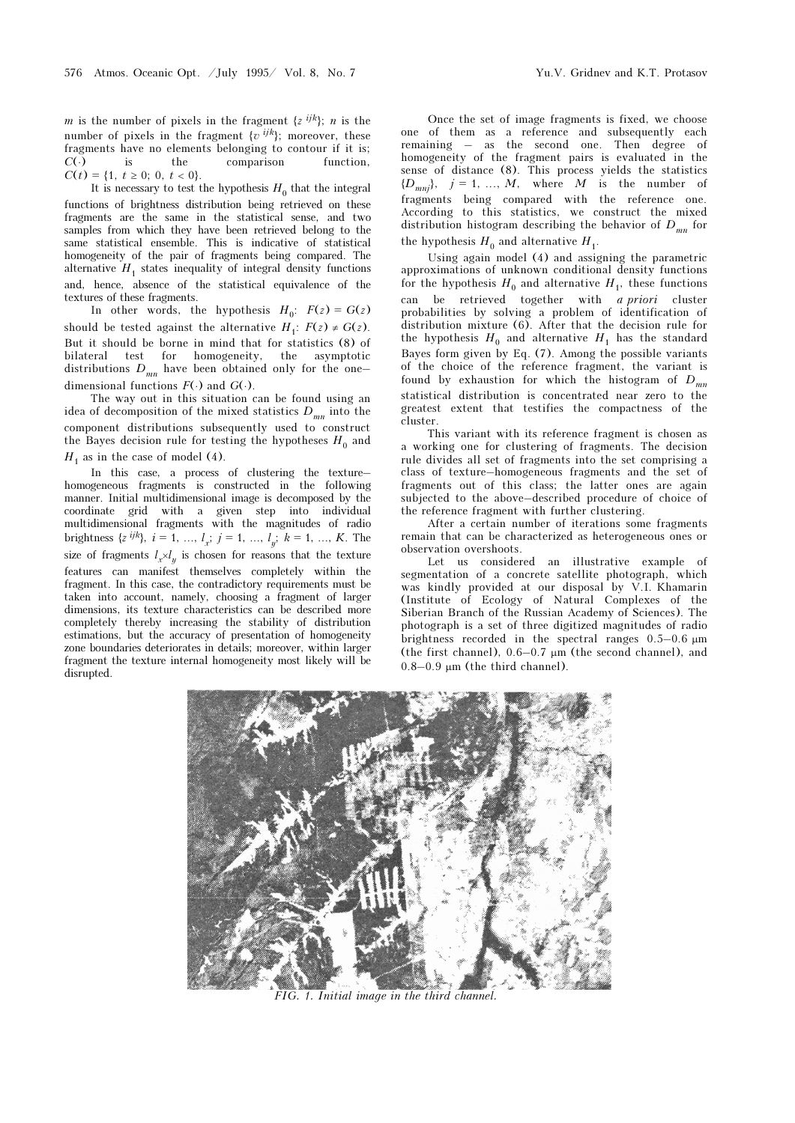m is the number of pixels in the fragment  $\{z^{ijk}\}\;$ , n is the number of pixels in the fragment  $\{v^{ijk}\}$ ; moreover, these fragments have no elements belonging to contour if it is;  $C(\cdot)$  is the comparison function,  $C(t) = \{1, t \geq 0; 0, t < 0\}.$ 

It is necessary to test the hypothesis  $H_0$  that the integral functions of brightness distribution being retrieved on these fragments are the same in the statistical sense, and two samples from which they have been retrieved belong to the same statistical ensemble. This is indicative of statistical homogeneity of the pair of fragments being compared. The alternative  $H_1$  states inequality of integral density functions and, hence, absence of the statistical equivalence of the textures of these fragments.

In other words, the hypothesis  $H_0$ :  $F(z) = G(z)$ should be tested against the alternative  $H_1: F(z) \neq G(z)$ . But it should be borne in mind that for statistics (8) of bilateral test for homogeneity, the asymptotic distributions  $D_{mn}$  have been obtained only for the one– dimensional functions  $F(\cdot)$  and  $G(\cdot)$ .

The way out in this situation can be found using an idea of decomposition of the mixed statistics  $D_{mn}$  into the component distributions subsequently used to construct the Bayes decision rule for testing the hypotheses  $H_0$  and  $H_1$  as in the case of model (4).

In this case, a process of clustering the texture– homogeneous fragments is constructed in the following manner. Initial multidimensional image is decomposed by the coordinate grid with a given step into individual multidimensional fragments with the magnitudes of radio brightness  $\{z^{ijk}\}, i = 1, ..., l_x; j = 1, ..., l_y; k = 1, ..., K$ . The size of fragments  $l_x \times l_y$  is chosen for reasons that the texture features can manifest themselves completely within the fragment. In this case, the contradictory requirements must be taken into account, namely, choosing a fragment of larger dimensions, its texture characteristics can be described more completely thereby increasing the stability of distribution estimations, but the accuracy of presentation of homogeneity zone boundaries deteriorates in details; moreover, within larger fragment the texture internal homogeneity most likely will be disrupted.

Once the set of image fragments is fixed, we choose one of them as a reference and subsequently each remaining – as the second one. Then degree of homogeneity of the fragment pairs is evaluated in the sense of distance (8). This process yields the statistics  ${D_{mnj}}$ ,  $j = 1, ..., M$ , where M is the number of fragments being compared with the reference one. According to this statistics, we construct the mixed distribution histogram describing the behavior of  $D_{mn}$  for the hypothesis  $H_0$  and alternative  $H_1$ .

Using again model (4) and assigning the parametric approximations of unknown conditional density functions for the hypothesis  $H_0$  and alternative  $H_1$ , these functions can be retrieved together with *a priori* cluster probabilities by solving a problem of identification of distribution mixture (6). After that the decision rule for the hypothesis  $H_0$  and alternative  $H_1$  has the standard Bayes form given by Eq. (7). Among the possible variants of the choice of the reference fragment, the variant is found by exhaustion for which the histogram of  $D_{mn}$ statistical distribution is concentrated near zero to the greatest extent that testifies the compactness of the cluster.

This variant with its reference fragment is chosen as a working one for clustering of fragments. The decision rule divides all set of fragments into the set comprising a class of texture–homogeneous fragments and the set of fragments out of this class; the latter ones are again subjected to the above–described procedure of choice of the reference fragment with further clustering.

After a certain number of iterations some fragments remain that can be characterized as heterogeneous ones or observation overshoots.

Let us considered an illustrative example of segmentation of a concrete satellite photograph, which was kindly provided at our disposal by V.I. Khamarin (Institute of Ecology of Natural Complexes of the Siberian Branch of the Russian Academy of Sciences). The photograph is a set of three digitized magnitudes of radio brightness recorded in the spectral ranges 0.5–0.6 μm (the first channel), 0.6–0.7 μm (the second channel), and  $0.8-0.9$  μm (the third channel).



FIG. 1. Initial image in the third channel.